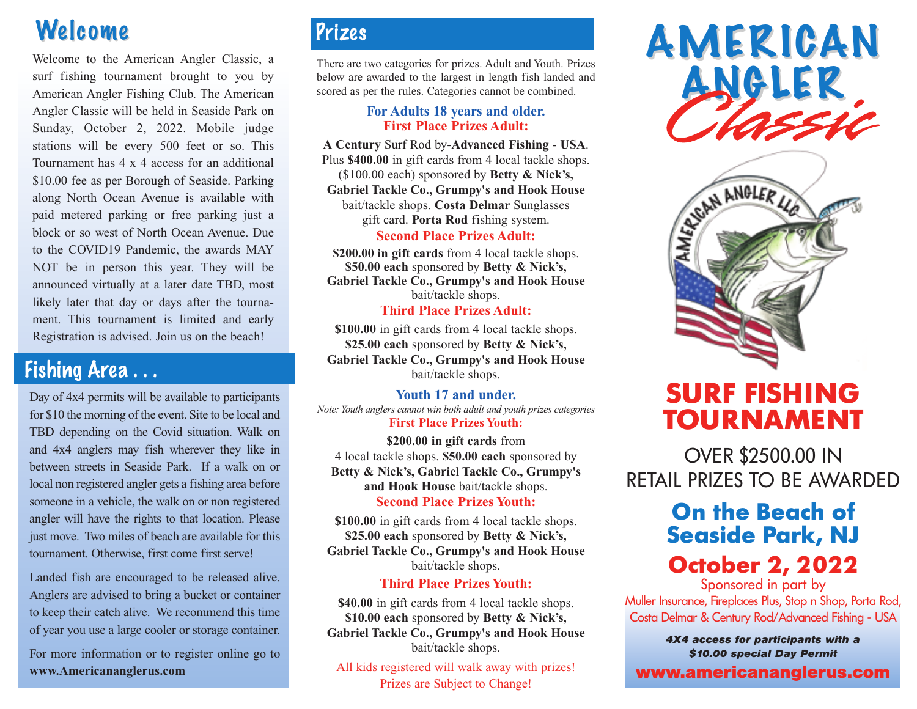# Welcome

Welcome to the American Angler Classic, a surf fishing tournament brought to you by American Angler Fishing Club. The American Angler Classic will be held in Seaside Park on Sunday, October 2, 2022. Mobile judge stations will be every 500 feet or so. This Tournament has 4 x 4 access for an additional \$10.00 fee as per Borough of Seaside. Parking along North Ocean Avenue is available with paid metered parking or free parking just a block or so west of North Ocean Avenue. Due to the COVID19 Pandemic, the awards MAY NOT be in person this year. They will be announced virtually at a later date TBD, most likely later that day or days after the tournament. This tournament is limited and early Registration is advised. Join us on the beach!

## Fishing Area . . .

Day of 4x4 permits will be available to participants for \$10 the morning of the event. Site to be local and TBD depending on the Covid situation. Walk on and 4x4 anglers may fish wherever they like in between streets in Seaside Park. If a walk on or local non registered angler gets a fishing area before someone in a vehicle, the walk on or non registered angler will have the rights to that location. Please just move. Two miles of beach are available for this tournament. Otherwise, first come first serve!

Landed fish are encouraged to be released alive. Anglers are advised to bring a bucket or container to keep their catch alive. We recommend this time of year you use a large cooler or storage container.

For more information or to register online go to **www.Americananglerus.com**

## Prizes

There are two categories for prizes. Adult and Youth. Prizes below are awarded to the largest in length fish landed and scored as per the rules. Categories cannot be combined.

### **For Adults 18 years and older. First Place Prizes Adult:**

**A Century** Surf Rod by-**Advanced Fishing - USA**. Plus **\$400.00** in gift cards from 4 local tackle shops. (\$100.00 each) sponsored by **Betty & Nick's, Gabriel Tackle Co., Grumpy's and Hook House** bait/tackle shops. **Costa Delmar** Sunglasses gift card. **Porta Rod** fishing system.

## **Second Place Prizes Adult:**

**\$200.00 in gift cards** from 4 local tackle shops. **\$50.00 each** sponsored by **Betty & Nick's, Gabriel Tackle Co., Grumpy's and Hook House** bait/tackle shops.

### **Third Place Prizes Adult:**

**\$100.00** in gift cards from 4 local tackle shops. **\$25.00 each** sponsored by **Betty & Nick's, Gabriel Tackle Co., Grumpy's and Hook House** bait/tackle shops.

## **Youth 17 and under.**

*Note: Youth anglers cannot win both adult and youth prizes categories*  **First Place Prizes Youth:**

**\$200.00 in gift cards** from 4 local tackle shops. **\$50.00 each** sponsored by **Betty & Nick's, Gabriel Tackle Co., Grumpy's and Hook House** bait/tackle shops.

### **Second Place Prizes Youth:**

**\$100.00** in gift cards from 4 local tackle shops. **\$25.00 each** sponsored by **Betty & Nick's, Gabriel Tackle Co., Grumpy's and Hook House** bait/tackle shops.

## **Third Place Prizes Youth:**

**\$40.00** in gift cards from 4 local tackle shops. **\$10.00 each** sponsored by **Betty & Nick's, Gabriel Tackle Co., Grumpy's and Hook House** bait/tackle shops.

All kids registered will walk away with prizes! Prizes are Subject to Change!





# **SURF FISHING TOURNAMENT**

OVER \$2500.00 IN RETAIL PRIZES TO BE AWARDED

## **On the Beach of Seaside Park, NJ**

## **October 2, 2022**

Sponsored in part by Muller Insurance, Fireplaces Plus, Stop n Shop, Porta Rod, Costa Delmar & Century Rod/Advanced Fishing - USA

> *4X4 access for participants with a \$10.00 special Day Permit*

**www.americananglerus.com**